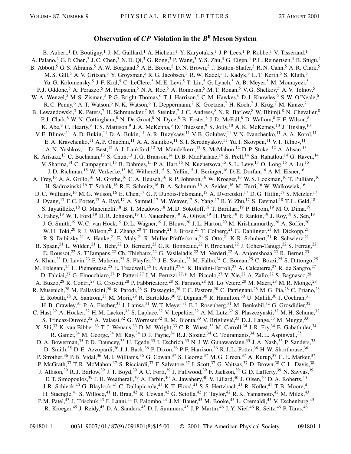## **Observation of** *CP* **Violation in the** *B***<sup>0</sup> Meson System**

B. Aubert,<sup>1</sup> D. Boutigny,<sup>1</sup> J.-M. Gaillard,<sup>1</sup> A. Hicheur,<sup>1</sup> Y. Karyotakis,<sup>1</sup> J.P. Lees,<sup>1</sup> P. Robbe,<sup>1</sup> V. Tisserand,<sup>1</sup> A. Palano,<sup>2</sup> G. P. Chen,<sup>3</sup> J. C. Chen,<sup>3</sup> N. D. Qi,<sup>3</sup> G. Rong,<sup>3</sup> P. Wang,<sup>3</sup> Y. S. Zhu,<sup>3</sup> G. Eigen,<sup>4</sup> P. L. Reinertsen,<sup>4</sup> B. Stugu,<sup>4</sup> B. Abbott,<sup>5</sup> G. S. Abrams,<sup>5</sup> A. W. Borgland,<sup>5</sup> A. B. Breon,<sup>5</sup> D. N. Brown,<sup>5</sup> J. Button-Shafer,<sup>5</sup> R. N. Cahn,<sup>5</sup> A. R. Clark,<sup>5</sup> M. S. Gill,<sup>5</sup> A. V. Gritsan,<sup>5</sup> Y. Groysman,<sup>5</sup> R. G. Jacobsen,<sup>5</sup> R. W. Kadel,<sup>5</sup> J. Kadyk,<sup>5</sup> L. T. Kerth,<sup>5</sup> S. Kluth,<sup>5</sup> Yu. G. Kolomensky,<sup>5</sup> J. F. Kral,<sup>5</sup> C. LeClerc,<sup>5</sup> M. E. Levi,<sup>5</sup> T. Liu,<sup>5</sup> G. Lynch,<sup>5</sup> A. B. Meyer,<sup>5</sup> M. Momayezi,<sup>5</sup> P. J. Oddone,<sup>5</sup> A. Perazzo,<sup>5</sup> M. Pripstein,<sup>5</sup> N. A. Roe,<sup>5</sup> A. Romosan,<sup>5</sup> M. T. Ronan,<sup>5</sup> V. G. Shelkov,<sup>5</sup> A. V. Telnov,<sup>5</sup> W. A. Wenzel,<sup>5</sup> M. S. Zisman,<sup>5</sup> P. G. Bright-Thomas,<sup>6</sup> T. J. Harrison,<sup>6</sup> C. M. Hawkes,<sup>6</sup> D. J. Knowles,<sup>6</sup> S. W. O'Neale,<sup>6</sup> R. C. Penny,<sup>6</sup> A. T. Watson,<sup>6</sup> N. K. Watson,<sup>6</sup> T. Deppermann,<sup>7</sup> K. Goetzen,<sup>7</sup> H. Koch,<sup>7</sup> J. Krug,<sup>7</sup> M. Kunze,<sup>7</sup> B. Lewandowski,<sup>7</sup> K. Peters,<sup>7</sup> H. Schmuecker,<sup>7</sup> M. Steinke,<sup>7</sup> J. C. Andress,<sup>8</sup> N. R. Barlow,<sup>8</sup> W. Bhimji,<sup>8</sup> N. Chevalier,<sup>8</sup> P. J. Clark,<sup>8</sup> W. N. Cottingham,<sup>8</sup> N. De Groot,<sup>8</sup> N. Dyce,<sup>8</sup> B. Foster,<sup>8</sup> J. D. McFall,<sup>8</sup> D. Wallom,<sup>8</sup> F. F. Wilson,<sup>8</sup> K. Abe,<sup>9</sup> C. Hearty,<sup>9</sup> T. S. Mattison,<sup>9</sup> J. A. McKenna,<sup>9</sup> D. Thiessen,<sup>9</sup> S. Jolly,<sup>10</sup> A. K. McKemey,<sup>10</sup> J. Tinslay,<sup>10</sup> V. E. Blinov,<sup>11</sup> A. D. Bukin,<sup>11</sup> D. A. Bukin,<sup>11</sup> A. R. Buzykaev,<sup>11</sup> V. B. Golubev,<sup>11</sup> V. N. Ivanchenko,<sup>11</sup> A. A. Korol,<sup>11</sup> E. A. Kravchenko,<sup>11</sup> A. P. Onuchin,<sup>11</sup> A. A. Salnikov,<sup>11</sup> S. I. Serednyakov,<sup>11</sup> Yu. I. Skovpen,<sup>11</sup> V. I. Telnov,<sup>11</sup> A. N. Yushkov,<sup>11</sup> D. Best,<sup>12</sup> A. J. Lankford,<sup>12</sup> M. Mandelkern,<sup>12</sup> S. McMahon,<sup>12</sup> D. P. Stoker,<sup>12</sup> A. Ahsan,<sup>13</sup> K. Arisaka,<sup>13</sup> C. Buchanan,<sup>13</sup> S. Chun,<sup>13</sup> J. G. Branson,<sup>14</sup> D. B. MacFarlane,<sup>14</sup> S. Prell,<sup>14</sup> Sh. Rahatlou,<sup>14</sup> G. Raven,<sup>14</sup> V. Sharma,<sup>14</sup> C. Campagnari,<sup>15</sup> B. Dahmes,<sup>15</sup> P. A. Hart,<sup>15</sup> N. Kuznetsova,<sup>15</sup> S. L. Levy,<sup>15</sup> O. Long,<sup>15</sup> A. Lu,<sup>15</sup> J. D. Richman,<sup>15</sup> W. Verkerke,<sup>15</sup> M. Witherell,<sup>15</sup> S. Yellin,<sup>15</sup> J. Beringer,<sup>16</sup> D. E. Dorfan,<sup>16</sup> A. M. Eisner,<sup>16</sup> A. Frey,<sup>16</sup> A. A. Grillo,<sup>16</sup> M. Grothe,<sup>16</sup> C. A. Heusch,<sup>16</sup> R. P. Johnson,<sup>16</sup> W. Kroeger,<sup>16</sup> W. S. Lockman,<sup>16</sup> T. Pulliam,<sup>16</sup> H. Sadrozinski,<sup>16</sup> T. Schalk,<sup>16</sup> R. E. Schmitz,<sup>16</sup> B. A. Schumm,<sup>16</sup> A. Seiden,<sup>16</sup> M. Turri,<sup>16</sup> W. Walkowiak,<sup>16</sup> D. C. Williams,<sup>16</sup> M. G. Wilson,<sup>16</sup> E. Chen,<sup>17</sup> G. P. Dubois-Felsmann,<sup>17</sup> A. Dvoretskii,<sup>17</sup> D. G. Hitlin,<sup>17</sup> S. Metzler,<sup>17</sup> J. Oyang,<sup>17</sup> F. C. Porter,<sup>17</sup> A. Ryd,<sup>17</sup> A. Samuel,<sup>17</sup> M. Weaver,<sup>17</sup> S. Yang,<sup>17</sup> R. Y. Zhu,<sup>17</sup> S. Devmal,<sup>18</sup> T. L. Geld,<sup>18</sup> S. Jayatilleke,<sup>18</sup> G. Mancinelli,<sup>18</sup> B. T. Meadows,<sup>18</sup> M. D. Sokoloff,<sup>18</sup> T. Barillari,<sup>19</sup> P. Bloom,<sup>19</sup> M. O. Dima,<sup>19</sup> S. Fahey,<sup>19</sup> W. T. Ford,<sup>19</sup> D. R. Johnson,<sup>19</sup> U. Nauenberg,<sup>19</sup> A. Olivas,<sup>19</sup> H. Park,<sup>19</sup> P. Rankin,<sup>19</sup> J. Roy,<sup>19</sup> S. Sen,<sup>19</sup> J. G. Smith,<sup>19</sup> W. C. van Hoek,<sup>19</sup> D. L. Wagner,<sup>19</sup> J. Blouw,<sup>20</sup> J. L. Harton,<sup>20</sup> M. Krishnamurthy,<sup>20</sup> A. Soffer,<sup>20</sup> W. H. Toki,<sup>20</sup> R. J. Wilson,<sup>20</sup> J. Zhang,<sup>20</sup> T. Brandt,<sup>21</sup> J. Brose,<sup>21</sup> T. Colberg,<sup>21</sup> G. Dahlinger,<sup>21</sup> M. Dickopp,<sup>21</sup> R. S. Dubitzky,<sup>21</sup> A. Hauke,<sup>21</sup> E. Maly,<sup>21</sup> R. Müller-Pfefferkorn,<sup>21</sup> S. Otto,<sup>21</sup> K. R. Schubert,<sup>21</sup> R. Schwierz,<sup>21</sup> B. Spaan,<sup>21</sup> L. Wilden,<sup>21</sup> L. Behr,<sup>22</sup> D. Bernard,<sup>22</sup> G. R. Bonneaud,<sup>22</sup> F. Brochard,<sup>22</sup> J. Cohen-Tanugi,<sup>22</sup> S. Ferrag,<sup>22</sup> E. Roussot,<sup>22</sup> S. T'Jampens,<sup>22</sup> Ch. Thiebaux,<sup>22</sup> G. Vasileiadis,<sup>22</sup> M. Verderi,<sup>22</sup> A. Anjomshoaa,<sup>23</sup> R. Bernet,<sup>23</sup> A. Khan,<sup>23</sup> D. Lavin,<sup>23</sup> F. Muheim,<sup>23</sup> S. Playfer,<sup>23</sup> J. E. Swain,<sup>23</sup> M. Falbo,<sup>24</sup> C. Borean,<sup>25</sup> C. Bozzi,<sup>25</sup> S. Dittongo,<sup>25</sup> M. Folegani,<sup>25</sup> L. Piemontese,<sup>25</sup> E. Treadwell,<sup>26</sup> F. Anulli,<sup>27,\*</sup> R. Baldini-Ferroli,<sup>27</sup> A. Calcaterra,<sup>27</sup> R. de Sangro,<sup>27</sup> D. Falciai,<sup>27</sup> G. Finocchiaro,<sup>27</sup> P. Patteri,<sup>27</sup> I. M. Peruzzi,<sup>27,\*</sup> M. Piccolo,<sup>27</sup> Y. Xie,<sup>27</sup> A. Zallo,<sup>27</sup> S. Bagnasco,<sup>28</sup> A. Buzzo,<sup>28</sup> R. Contri,<sup>28</sup> G. Crosetti,<sup>28</sup> P. Fabbricatore,<sup>28</sup> S. Farinon,<sup>28</sup> M. Lo Vetere,<sup>28</sup> M. Macri,<sup>28</sup> M. R. Monge,<sup>28</sup> R. Musenich,<sup>28</sup> M. Pallavicini,<sup>28</sup> R. Parodi,<sup>28</sup> S. Passaggio,<sup>28</sup> F.C. Pastore,<sup>28</sup> C. Patrignani,<sup>28</sup> M. G. Pia,<sup>28</sup> C. Priano,<sup>28</sup> E. Robutti,<sup>28</sup> A. Santroni,<sup>28</sup> M. Morii,<sup>29</sup> R. Bartoldus,<sup>30</sup> T. Dignan,<sup>30</sup> R. Hamilton,<sup>30</sup> U. Mallik,<sup>30</sup> J. Cochran,<sup>31</sup> H. B. Crawley,<sup>31</sup> P.-A. Fischer,<sup>31</sup> J. Lamsa,<sup>31</sup> W. T. Meyer,<sup>31</sup> E. I. Rosenberg,<sup>31</sup> M. Benkebil,<sup>32</sup> G. Grosdidier,<sup>32</sup> C. Hast,<sup>32</sup> A. Höcker,<sup>32</sup> H.M. Lacker,<sup>32</sup> S. Laplace,<sup>32</sup> V. Lepeltier,<sup>32</sup> A.M. Lutz,<sup>32</sup> S. Plaszczynski,<sup>32</sup> M.H. Schune,<sup>32</sup> S. Trincaz-Duvoid,<sup>32</sup> A. Valassi,<sup>32</sup> G. Wormser,<sup>32</sup> R. M. Bionta,<sup>33</sup> V. Brigljević,<sup>33</sup> D. J. Lange,<sup>33</sup> M. Mugge,<sup>33</sup> X. Shi,<sup>33</sup> K. van Bibber,<sup>33</sup> T. J. Wenaus,<sup>33</sup> D. M. Wright,<sup>33</sup> C. R. Wuest,<sup>33</sup> M. Carroll,<sup>34</sup> J. R. Fry,<sup>34</sup> E. Gabathuler,<sup>34</sup> R. Gamet,<sup>34</sup> M. George,<sup>34</sup> M. Kay,<sup>34</sup> D. J. Payne,<sup>34</sup> R. J. Sloane,<sup>34</sup> C. Touramanis,<sup>34</sup> M. L. Aspinwall,<sup>35</sup> D. A. Bowerman,<sup>35</sup> P. D. Dauncey,<sup>35</sup> U. Egede,<sup>35</sup> I. Eschrich,<sup>35</sup> N. J. W. Gunawardane,<sup>35</sup> J. A. Nash,<sup>35</sup> P. Sanders,<sup>35</sup> D. Smith,<sup>35</sup> D. E. Azzopardi,<sup>36</sup> J. J. Back,<sup>36</sup> P. Dixon,<sup>36</sup> P. F. Harrison,<sup>36</sup> R. J. L. Potter,<sup>36</sup> H. W. Shorthouse,<sup>36</sup> P. Strother,<sup>36</sup> P. B. Vidal,<sup>36</sup> M. I. Williams,<sup>36</sup> G. Cowan,<sup>37</sup> S. George,<sup>37</sup> M. G. Green,<sup>37</sup> A. Kurup,<sup>37</sup> C. E. Marker,<sup>37</sup> P. McGrath,<sup>37</sup> T. R. McMahon,<sup>37</sup> S. Ricciardi,<sup>37</sup> F. Salvatore,<sup>37</sup> I. Scott,<sup>37</sup> G. Vaitsas,<sup>37</sup> D. Brown,<sup>38</sup> C. L. Davis,<sup>38</sup> J. Allison,<sup>39</sup> R. J. Barlow,<sup>39</sup> J. T. Boyd,<sup>39</sup> A. C. Forti,<sup>39</sup> J. Fullwood,<sup>39</sup> F. Jackson,<sup>39</sup> G. D. Lafferty,<sup>39</sup> N. Savvas,<sup>39</sup> E. T. Simopoulos,<sup>39</sup> J. H. Weatherall,<sup>39</sup> A. Farbin,<sup>40</sup> A. Jawahery,<sup>40</sup> V. Lillard,<sup>40</sup> J. Olsen,<sup>40</sup> D. A. Roberts,<sup>40</sup> J. R. Schieck,<sup>40</sup> G. Blaylock,<sup>41</sup> C. Dallapiccola,<sup>41</sup> K. T. Flood,<sup>41</sup> S. S. Hertzbach,<sup>41</sup> R. Kofler,<sup>41</sup> T. B. Moore,<sup>41</sup> H. Staengle,<sup>41</sup> S. Willocq,<sup>41</sup> B. Brau,<sup>42</sup> R. Cowan,<sup>42</sup> G. Sciolla,<sup>42</sup> F. Taylor,<sup>42</sup> R. K. Yamamoto,<sup>42</sup> M. Milek,<sup>43</sup> P. M. Patel,<sup>43</sup> J. Trischuk,<sup>43</sup> F. Lanni,<sup>44</sup> F. Palombo,<sup>44</sup> J. M. Bauer,<sup>45</sup> M. Booke,<sup>45</sup> L. Cremaldi,<sup>45</sup> V. Eschenburg,<sup>45</sup> R. Kroeger,<sup>45</sup> J. Reidy,<sup>45</sup> D. A. Sanders,<sup>45</sup> D. J. Summers,<sup>45</sup> J. P. Martin,<sup>46</sup> J. Y. Nief,<sup>46</sup> R. Seitz,<sup>46</sup> P. Taras,<sup>46</sup>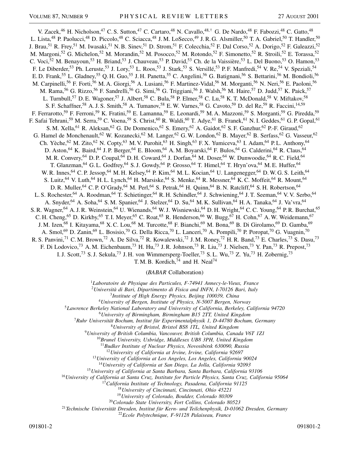V. Zacek,<sup>46</sup> H. Nicholson,<sup>47</sup> C. S. Sutton,<sup>47</sup> C. Cartaro,<sup>48</sup> N. Cavallo,<sup>48,†</sup> G. De Nardo,<sup>48</sup> F. Fabozzi,<sup>48</sup> C. Gatto,<sup>48</sup> L. Lista,<sup>48</sup> P. Paolucci,<sup>48</sup> D. Piccolo,<sup>48</sup> C. Sciacca,<sup>48</sup> J.M. LoSecco,<sup>49</sup> J.R.G. Alsmiller,<sup>50</sup> T.A. Gabriel,<sup>50</sup> T. Handler,<sup>50</sup> J. Brau,<sup>51</sup> R. Frey,<sup>51</sup> M. Iwasaki,<sup>51</sup> N. B. Sinev,<sup>51</sup> D. Strom,<sup>51</sup> F. Colecchia,<sup>52</sup> F. Dal Corso,<sup>52</sup> A. Dorigo,<sup>52</sup> F. Galeazzi,<sup>52</sup> M. Margoni,<sup>52</sup> G. Michelon,<sup>52</sup> M. Morandin,<sup>52</sup> M. Posocco,<sup>52</sup> M. Rotondo,<sup>52</sup> F. Simonetto,<sup>52</sup> R. Stroili,<sup>52</sup> E. Torassa,<sup>52</sup> C. Voci,<sup>52</sup> M. Benayoun,<sup>53</sup> H. Briand,<sup>53</sup> J. Chauveau,<sup>53</sup> P. David,<sup>53</sup> Ch. de la Vaissière,<sup>53</sup> L. Del Buono,<sup>53</sup> O. Hamon,<sup>53</sup> F. Le Diberder,<sup>53</sup> Ph. Leruste,<sup>53</sup> J. Lory,<sup>53</sup> L. Roos,<sup>53</sup> J. Stark,<sup>53</sup> S. Versillé,<sup>53</sup> P. F. Manfredi,<sup>54</sup> V. Re,<sup>54</sup> V. Speziali,<sup>54</sup> E. D. Frank,<sup>55</sup> L. Gladney,<sup>55</sup> Q. H. Guo,<sup>55</sup> J. H. Panetta,<sup>55</sup> C. Angelini,<sup>56</sup> G. Batignani,<sup>56</sup> S. Bettarini,<sup>56</sup> M. Bondioli,<sup>56</sup> M. Carpinelli,<sup>56</sup> F. Forti,<sup>56</sup> M. A. Giorgi,<sup>56</sup> A. Lusiani,<sup>56</sup> F. Martinez-Vidal,<sup>56</sup> M. Morganti,<sup>56</sup> N. Neri,<sup>56</sup> E. Paoloni,<sup>56</sup> M. Rama,<sup>56</sup> G. Rizzo,<sup>56</sup> F. Sandrelli,<sup>56</sup> G. Simi,<sup>56</sup> G. Triggiani,<sup>56</sup> J. Walsh,<sup>56</sup> M. Haire,<sup>57</sup> D. Judd,<sup>57</sup> K. Paick,<sup>57</sup> L. Turnbull,<sup>57</sup> D. E. Wagoner,<sup>57</sup> J. Albert,<sup>58</sup> C. Bula,<sup>58</sup> P. Elmer,<sup>58</sup> C. Lu,<sup>58</sup> K. T. McDonald,<sup>58</sup> V. Miftakov,<sup>58</sup> S. F. Schaffner,<sup>58</sup> A. J. S. Smith,<sup>58</sup> A. Tumanov,<sup>58</sup> E. W. Varnes,<sup>58</sup> G. Cavoto,<sup>59</sup> D. del Re,<sup>59</sup> R. Faccini,<sup>14,59</sup> F. Ferrarotto,<sup>59</sup> F. Ferroni,<sup>59</sup> K. Fratini,<sup>59</sup> E. Lamanna,<sup>59</sup> E. Leonardi,<sup>59</sup> M. A. Mazzoni,<sup>59</sup> S. Morganti,<sup>59</sup> G. Piredda,<sup>59</sup> F. Safai Tehrani,<sup>59</sup> M. Serra,<sup>59</sup> C. Voena,<sup>59</sup> S. Christ,<sup>60</sup> R. Waldi,<sup>60</sup> T. Adye,<sup>61</sup> B. Franek,<sup>61</sup> N. I. Geddes,<sup>61</sup> G. P. Gopal,<sup>61</sup> S. M. Xella,<sup>61</sup> R. Aleksan,<sup>62</sup> G. De Domenico,<sup>62</sup> S. Emery,<sup>62</sup> A. Gaidot,<sup>62</sup> S. F. Ganzhur,<sup>62</sup> P.-F. Giraud,<sup>62</sup> G. Hamel de Monchenault,<sup>62</sup> W. Kozanecki,<sup>62</sup> M. Langer,<sup>62</sup> G. W. London,<sup>62</sup> B. Mayer,<sup>62</sup> B. Serfass,<sup>62</sup> G. Vasseur,<sup>62</sup> Ch. Yèche,<sup>62</sup> M. Zito,<sup>62</sup> N. Copty,<sup>63</sup> M. V. Purohit,<sup>63</sup> H. Singh,<sup>63</sup> F. X. Yumiceva,<sup>63</sup> I. Adam,<sup>64</sup> P. L. Anthony,<sup>64</sup> D. Aston,<sup>64</sup> K. Baird,<sup>64</sup> J. P. Berger,<sup>64</sup> E. Bloom,<sup>64</sup> A. M. Boyarski,<sup>64</sup> F. Bulos,<sup>64</sup> G. Calderini,<sup>64</sup> R. Claus,<sup>64</sup> M. R. Convery, <sup>64</sup> D. P. Coupal, <sup>64</sup> D. H. Coward, <sup>64</sup> J. Dorfan, <sup>64</sup> M. Doser, <sup>64</sup> W. Dunwoodie, <sup>64</sup> R. C. Field, <sup>64</sup> T. Glanzman,<sup>64</sup> G. L. Godfrey,<sup>64</sup> S. J. Gowdy,<sup>64</sup> P. Grosso,<sup>64</sup> T. Himel,<sup>64</sup> T. Hryn'ova,<sup>64</sup> M. E. Huffer,<sup>64</sup> W. R. Innes, <sup>64</sup> C. P. Jessop, <sup>64</sup> M. H. Kelsey, <sup>64</sup> P. Kim, <sup>64</sup> M. L. Kocian, <sup>64</sup> U. Langenegger, <sup>64</sup> D. W. G. S. Leith, <sup>64</sup> S. Luitz, <sup>64</sup> V. Luth, <sup>64</sup> H. L. Lynch, <sup>64</sup> H. Marsiske, <sup>64</sup> S. Menke, <sup>64</sup> R. Messner, <sup>64</sup> K. C. Moffeit, <sup>64</sup> R. Mount, <sup>64</sup> D. R. Muller, <sup>64</sup> C. P. O'Grady, <sup>64</sup> M. Perl, <sup>64</sup> S. Petrak, <sup>64</sup> H. Quinn, <sup>64</sup> B. N. Ratcliff, <sup>64</sup> S. H. Robertson, <sup>64</sup> L. S. Rochester,<sup>64</sup> A. Roodman,<sup>64</sup> T. Schietinger,<sup>64</sup> R. H. Schindler,<sup>64</sup> J. Schwiening,<sup>64</sup> J. T. Seeman,<sup>64</sup> V. V. Serbo,<sup>64</sup> A. Snyder,<sup>64</sup> A. Soha,<sup>64</sup> S.M. Spanier,<sup>64</sup> J. Stelzer,<sup>64</sup> D. Su,<sup>64</sup> M.K. Sullivan,<sup>64</sup> H.A. Tanaka,<sup>64</sup> J. Va'vra,<sup>64</sup> S. R. Wagner, <sup>64</sup> A. J. R. Weinstein, <sup>64</sup> U. Wienands, <sup>64</sup> W. J. Wisniewski, <sup>64</sup> D. H. Wright, <sup>64</sup> C. C. Young, <sup>64</sup> P. R. Burchat, <sup>65</sup> C. H. Cheng,<sup>65</sup> D. Kirkby,<sup>65</sup> T. I. Meyer,<sup>65</sup> C. Roat,<sup>65</sup> R. Henderson,<sup>66</sup> W. Bugg,<sup>67</sup> H. Cohn,<sup>67</sup> A. W. Weidemann,<sup>67</sup> J. M. Izen,<sup>68</sup> I. Kitayama,<sup>68</sup> X. C. Lou,<sup>68</sup> M. Turcotte,<sup>68</sup> F. Bianchi,<sup>69</sup> M. Bona,<sup>69</sup> B. Di Girolamo,<sup>69</sup> D. Gamba,<sup>69</sup> A. Smol,<sup>69</sup> D. Zanin,<sup>69</sup> L. Bosisio,<sup>70</sup> G. Della Ricca,<sup>70</sup> L. Lanceri,<sup>70</sup> A. Pompili,<sup>70</sup> P. Poropat,<sup>70</sup> G. Vuagnin,<sup>70</sup> R. S. Panvini,<sup>71</sup> C. M. Brown,<sup>72</sup> A. De Silva,<sup>72</sup> R. Kowalewski,<sup>72</sup> J. M. Roney,<sup>72</sup> H. R. Band,<sup>73</sup> E. Charles,<sup>73</sup> S. Dasu,<sup>73</sup> F. Di Lodovico,<sup>73</sup> A.M. Eichenbaum,<sup>73</sup> H. Hu,<sup>73</sup> J.R. Johnson,<sup>73</sup> R. Liu,<sup>73</sup> J. Nielsen,<sup>73</sup> Y. Pan,<sup>73</sup> R. Prepost,<sup>73</sup> I. J. Scott,<sup>73</sup> S. J. Sekula,<sup>73</sup> J. H. von Wimmersperg-Toeller,<sup>73</sup> S. L. Wu,<sup>73</sup> Z. Yu,<sup>73</sup> H. Zobernig,<sup>73</sup>

T. M. B. Kordich, $^{74}$  and H. Neal $^{74}$ 

(*BABAR* Collaboration)

<sup>1</sup>*Laboratoire de Physique des Particules, F-74941 Annecy-le-Vieux, France*

<sup>2</sup>*Università di Bari, Dipartimento di Fisica and INFN, I-70126 Bari, Italy*

<sup>3</sup>*Institute of High Energy Physics, Beijing 100039, China*

<sup>4</sup>*University of Bergen, Institute of Physics, N-5007 Bergen, Norway*

<sup>5</sup>*Lawrence Berkeley National Laboratory and University of California, Berkeley, California 94720*

<sup>6</sup>*University of Birmingham, Birmingham B15 2TT, United Kingdom*

<sup>7</sup>*Ruhr Universität Bochum, Institut für Experimentalphysik 1, D-44780 Bochum, Germany*

<sup>8</sup>*University of Bristol, Bristol BS8 1TL, United Kingdom*

<sup>9</sup>*University of British Columbia, Vancouver, British Columbia, Canada V6T 1Z1*

<sup>10</sup>*Brunel University, Uxbridge, Middlesex UB8 3PH, United Kingdom*

<sup>11</sup>*Budker Institute of Nuclear Physics, Novosibirsk 630090, Russia*

<sup>12</sup>*University of California at Irvine, Irvine, California 92697*

<sup>13</sup>*University of California at Los Angeles, Los Angeles, California 90024*

<sup>14</sup>*University of California at San Diego, La Jolla, California 92093*

<sup>15</sup>*University of California at Santa Barbara, Santa Barbara, California 93106*

<sup>16</sup>*University of California at Santa Cruz, Institute for Particle Physics, Santa Cruz, California 95064*

<sup>17</sup>*California Institute of Technology, Pasadena, California 91125*

<sup>18</sup>*University of Cincinnati, Cincinnati, Ohio 45221*

<sup>19</sup>*University of Colorado, Boulder, Colorado 80309*

<sup>20</sup>*Colorado State University, Fort Collins, Colorado 80523*

<sup>21</sup>*Technische Universität Dresden, Institut für Kern- und Teilchenphysik, D-01062 Dresden, Germany*

<sup>22</sup>*Ecole Polytechnique, F-91128 Palaiseau, France*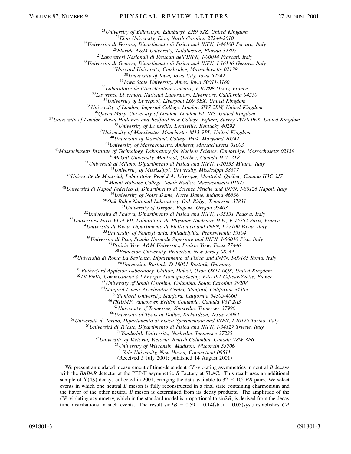*University of Edinburgh, Edinburgh EH9 3JZ, United Kingdom*

*Elon University, Elon, North Carolina 27244-2010*

*Università di Ferrara, Dipartimento di Fisica and INFN, I-44100 Ferrara, Italy*

*Florida A&M University, Tallahassee, Florida 32307*

*Laboratori Nazionali di Frascati dell'INFN, I-00044 Frascati, Italy*

*Università di Genova, Dipartimento di Fisica and INFN, I-16146 Genova, Italy*

*Harvard University, Cambridge, Massachusetts 02138*

*University of Iowa, Iowa City, Iowa 52242*

*Iowa State University, Ames, Iowa 50011-3160*

*Laboratoire de l'Accélérateur Linéaire, F-91898 Orsay, France*

*Lawrence Livermore National Laboratory, Livermore, California 94550*

*University of Liverpool, Liverpool L69 3BX, United Kingdom*

*University of London, Imperial College, London SW7 2BW, United Kingdom*

*Queen Mary, University of London, London E1 4NS, United Kingdom*

*University of London, Royal Holloway and Bedford New College, Egham, Surrey TW20 0EX, United Kingdom*

*University of Louisville, Louisville, Kentucky 40292*

*University of Manchester, Manchester M13 9PL, United Kingdom*

*University of Maryland, College Park, Maryland 20742*

*University of Massachusetts, Amherst, Massachusetts 01003*

*Massachusetts Institute of Technology, Laboratory for Nuclear Science, Cambridge, Massachusetts 02139*

*McGill University, Montréal, Québec, Canada H3A 2T8*

*Università di Milano, Dipartimento di Fisica and INFN, I-20133 Milano, Italy*

*University of Mississippi, University, Mississippi 38677*

*Université de Montréal, Laboratoire René J. A. Lévesque, Montréal, Québec, Canada H3C 3J7*

*Mount Holyoke College, South Hadley, Massachusetts 01075*

*Università di Napoli Federico II, Dipartimento di Scienze Fisiche and INFN, I-80126 Napoli, Italy*

*University of Notre Dame, Notre Dame, Indiana 46556*

*Oak Ridge National Laboratory, Oak Ridge, Tennessee 37831*

*University of Oregon, Eugene, Oregon 97403*

*Università di Padova, Dipartimento di Fisica and INFN, I-35131 Padova, Italy*

*Universités Paris VI et VII, Laboratoire de Physique Nucléaire H.E., F-75252 Paris, France*

*Università di Pavia, Dipartimento di Elettronica and INFN, I-27100 Pavia, Italy*

*University of Pennsylvania, Philadelphia, Pennsylvania 19104*

*Università di Pisa, Scuola Normale Superiore and INFN, I-56010 Pisa, Italy*

*Prairie View A&M University, Prairie View, Texas 77446*

*Princeton University, Princeton, New Jersey 08544*

*Università di Roma La Sapienza, Dipartimento di Fisica and INFN, I-00185 Roma, Italy*

*Universität Rostock, D-18051 Rostock, Germany*

*Rutherford Appleton Laboratory, Chilton, Didcot, Oxon OX11 0QX, United Kingdom*

*DAPNIA, Commissariat à l'Energie Atomique/Saclay, F-91191 Gif-sur-Yvette, France*

*University of South Carolina, Columbia, South Carolina 29208*

*Stanford Linear Accelerator Center, Stanford, California 94309*

*Stanford University, Stanford, California 94305-4060*

*TRIUMF, Vancouver, British Columbia, Canada V6T 2A3*

*University of Tennessee, Knoxville, Tennessee 37996*

*University of Texas at Dallas, Richardson, Texas 75083*

*Università di Torino, Dipartimento di Fisica Sperimentale and INFN, I-10125 Torino, Italy*

*Università di Trieste, Dipartimento di Fisica and INFN, I-34127 Trieste, Italy*

*Vanderbilt University, Nashville, Tennessee 37235*

*University of Victoria, Victoria, British Columbia, Canada V8W 3P6*

*University of Wisconsin, Madison, Wisconsin 53706*

*Yale University, New Haven, Connecticut 06511*

(Received 5 July 2001; published 14 August 2001)

We present an updated measurement of time-dependent *CP*-violating asymmetries in neutral *B* decays with the *BABAR* detector at the PEP-II asymmetric *B* Factory at SLAC. This result uses an additional sample of  $Y(4S)$  decays collected in 2001, bringing the data available to  $32 \times 10^6$  *BB* pairs. We select events in which one neutral *B* meson is fully reconstructed in a final state containing charmonium and the flavor of the other neutral *B* meson is determined from its decay products. The amplitude of the  $CP$ -violating asymmetry, which in the standard model is proportional to  $\sin 2\beta$ , is derived from the decay time distributions in such events. The result  $\sin 2\beta = 0.59 \pm 0.14$  (stat)  $\pm 0.05$  (syst) establishes *CP*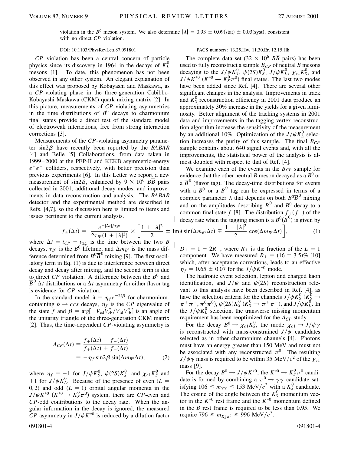violation in the  $B^0$  meson system. We also determine  $|\lambda| = 0.93 \pm 0.09$ (stat)  $\pm 0.03$ (syst), consistent with no direct *CP* violation.

*CP* violation has been a central concern of particle physics since its discovery in 1964 in the decays of  $K<sub>L</sub><sup>0</sup>$ mesons [1]. To date, this phenomenon has not been observed in any other system. An elegant explanation of this effect was proposed by Kobayashi and Maskawa, as a *CP*-violating phase in the three-generation Cabibbo-Kobayashi-Maskawa (CKM) quark-mixing matrix [2]. In this picture, measurements of *CP*-violating asymmetries in the time distributions of  $B^0$  decays to charmonium final states provide a direct test of the standard model of electroweak interactions, free from strong interaction corrections [3].

Measurements of the *CP*-violating asymmetry parameter  $\sin 2\beta$  have recently been reported by the *BABAR* [4] and Belle [5] Collaborations, from data taken in 1999–2000 at the PEP-II and KEKB asymmetric-energy  $e^+e^-$  colliders, respectively, with better precision than previous experiments [6]. In this Letter we report a new measurement of sin2 $\beta$ , enhanced by  $9 \times 10^6$  *BB* pairs collected in 2001, additional decay modes, and improvements in data reconstruction and analysis. The *BABAR* detector and the experimental method are described in Refs. [4,7], so the discussion here is limited to items and issues pertinent to the current analysis.

$$
f_{\pm}(\Delta t) = \frac{e^{-|\Delta t|/\tau_{B^0}}}{2\tau_{B^0}(1+|\lambda|^2)} \times \left[\frac{1+|\lambda|^2}{2} \pm \text{Im}\lambda\right]
$$

where  $\Delta t = t_{CP} - t_{\text{tag}}$  is the time between the two *B* decays,  $\tau_{B^0}$  is the *B*<sup>0</sup> lifetime, and  $\Delta m_{B^0}$  is the mass difference determined from  $B^0\overline{B}^0$  mixing [9]. The first oscillatory term in Eq. (1) is due to interference between direct decay and decay after mixing, and the second term is due to direct *CP* violation. A difference between the  $B^0$  and  $\overline{B}^0$   $\Delta t$  distributions or a  $\Delta t$  asymmetry for either flavor tag is evidence for *CP* violation.

In the standard model  $\lambda = \eta_f e^{-2i\beta}$  for charmoniumcontaining  $b \rightarrow c\overline{c}s$  decays,  $\eta_f$  is the *CP* eigenvalue of the state *f* and  $\beta = \arg[-V_{cd}V_{cb}^*/V_{td}V_{tb}^*]$  is an angle of the unitarity triangle of the three-generation CKM matrix [2]. Thus, the time-dependent *CP*-violating asymmetry is

$$
A_{CP}(\Delta t) \equiv \frac{f_{+}(\Delta t) - f_{-}(\Delta t)}{f_{+}(\Delta t) + f_{-}(\Delta t)}
$$
  
=  $-\eta_{f} \sin 2\beta \sin(\Delta m_{B} \Delta t)$ , (2)

where  $\eta_f = -1$  for  $J/\psi K_S^0$ ,  $\psi(2S)K_S^0$ , and  $\chi_{c1}K_S^0$  and +1 for  $J/\psi K_L^0$ . Because of the presence of even (*L* = 0, 2) and odd  $(L = 1)$  orbital angular momenta in the  $J/\psi K^{*0}$  ( $K^{*0} \rightarrow K_S^0 \pi^0$ ) system, there are *CP*-even and *CP*-odd contributions to the decay rate. When the angular information in the decay is ignored, the measured *CP* asymmetry in  $J/\psi K^{*0}$  is reduced by a dilution factor

## DOI: 10.1103/PhysRevLett.87.091801 PACS numbers: 13.25.Hw, 11.30.Er, 12.15.Hh

The complete data set  $(32 \times 10^6$  *BB* pairs) has been used to fully reconstruct a sample  $B_{CP}$  of neutral  $B$  mesons decaying to the  $J/\psi K_S^0$ ,  $\psi(2S)K_S^0$ ,  $J/\psi K_L^0$ ,  $\chi_{c1}K_S^0$ , and  $J/\psi K^{*0}$  ( $K^{*0} \to K_S^0 \pi^0$ ) final states. The last two modes have been added since Ref. [4]. There are several other significant changes in the analysis. Improvements in track and  $K_S^0$  reconstruction efficiency in 2001 data produce an approximately 30% increase in the yields for a given luminosity. Better alignment of the tracking systems in 2001 data and improvements in the tagging vertex reconstruction algorithm increase the sensitivity of the measurement by an additional 10%. Optimization of the  $J/\psi K_L^0$  selection increases the purity of this sample. The final  $B_{CP}$ sample contains about 640 signal events and, with all the improvements, the statistical power of the analysis is almost doubled with respect to that of Ref. [4].

We examine each of the events in the  $B_{CP}$  sample for evidence that the other neutral *B* meson decayed as a  $B^0$  or a  $\overline{B}^0$  (flavor tag). The decay-time distributions for events with a  $B^0$  or a  $\overline{B}^0$  tag can be expressed in terms of a complex parameter  $\lambda$  that depends on both  $B^0\overline{B}^0$  mixing and on the amplitudes describing  $\overline{B}^0$  and  $B^0$  decay to a common final state  $f$  [8]. The distribution  $f_{\uparrow}(f_{-})$  of the decay rate when the tagging meson is a  $B^0(\overline{B}^0)$  is given by  $\pm \text{Im} \lambda \sin(\Delta m_{B^0} \Delta t) = \frac{1 - |\lambda|^2}{2}$  $\frac{1}{2} \cos(\Delta m_{B^0} \Delta t)$ ∵<br>ד , (1)

 $D_{\perp} = 1 - 2R_{\perp}$ , where  $R_{\perp}$  is the fraction of the  $L = 1$ component. We have measured  $R_{\perp} = (16 \pm 3.5)\%$  [10] which, after acceptance corrections, leads to an effective  $\eta_f = 0.65 \pm 0.07$  for the *J*/ $\psi K^{*0}$  mode.

The hadronic event selection, lepton and charged kaon identification, and  $J/\psi$  and  $\psi(2S)$  reconstruction relevant to this analysis have been described in Ref. [4], as have the selection criteria for the channels  $J/\psi K_S^0$  ( $K_S^0 \rightarrow$  $\pi^+\pi^-, \pi^0\pi^0$ ,  $\psi(2S)K_S^0$  ( $K_S^0 \to \pi^+\pi^-$ ), and  $J/\psi K_L^0$ . In the  $J/\psi K_L^0$  selection, the transverse missing momentum requirement has been reoptimized for the *ACP* study.

For the decay  $B^0 \to \chi_{c1} K_S^0$ , the mode  $\chi_{c1} \to J/\psi \gamma$ is reconstructed with mass-constrained  $J/\psi$  candidates selected as in other charmonium channels [4]. Photons must have an energy greater than 150 MeV and must not be associated with any reconstructed  $\pi^0$ . The resulting  $J/\psi \gamma$  mass is required to be within 35 MeV/ $c^2$  of the  $\chi_{c1}$ mass [9].

For the decay  $B^0 \to J/\psi K^{*0}$ , the  $K^{*0} \to K_S^0 \pi^0$  candidate is formed by combining a  $\pi^0 \rightarrow \gamma \gamma$  candidate satisfying  $106 \le m_{\gamma\gamma} \le 153 \text{ MeV}/c^2$  with a  $K^0_S$  candidate. The cosine of the angle between the  $K_S^0$  momentum vector in the  $K^{*0}$  rest frame and the  $K^{*0}$  momentum defined in the  $B$  rest frame is required to be less than 0.95. We require 796  $\leq m_{K^0_s \pi^0} \leq 996 \text{ MeV}/c^2$ .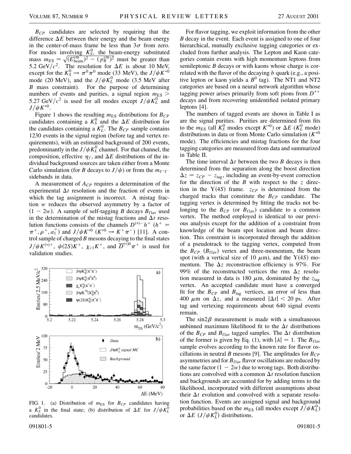*B<sub>CP</sub>* candidates are selected by requiring that the difference  $\Delta E$  between their energy and the beam energy in the center-of-mass frame be less than  $3\sigma$  from zero. For modes involving  $K_S^0$ , the beam-energy substituted mass  $m_{ES} = \sqrt{(E_{\text{beam}}^{\text{cm}})^2 - (p_B^{\text{cm}})^2}$  must be greater than 5.2 GeV/ $c^2$ . The resolution for  $\Delta E$  is about 10 MeV, except for the  $K_S^0 \to \pi^0 \pi^0$  mode (33 MeV), the  $J/\psi K^{*0}$ mode (20 MeV), and the  $J/\psi K_L^0$  mode (3.5 MeV after *B* mass constraint). For the purpose of determining numbers of events and purities, a signal region  $m_{ES}$  > 5.27 GeV/ $c^2$  is used for all modes except  $J/\psi K_L^0$  and  $J/\psi K^{*0}$ .

Figure 1 shows the resulting  $m_{ES}$  distributions for  $B_{CP}$ candidates containing a  $K_S^0$  and the  $\Delta E$  distribution for the candidates containing a  $K<sub>L</sub><sup>0</sup>$ . The  $B<sub>CP</sub>$  sample contains 1230 events in the signal region (before tag and vertex requirements), with an estimated background of 200 events, predominantly in the  $J/\psi K_L^0$  channel. For that channel, the composition, effective  $\eta_f$ , and  $\Delta E$  distributions of the individual background sources are taken either from a Monte Carlo simulation (for *B* decays to  $J/\psi$ ) or from the  $m_{\ell^+ \ell^-}$ sidebands in data.

A measurement of *ACP* requires a determination of the experimental  $\Delta t$  resolution and the fraction of events in which the tag assignment is incorrect. A mistag fraction *w* reduces the observed asymmetry by a factor of  $(1 - 2w)$ . A sample of self-tagging *B* decays  $B_{\text{flav}}$  used in the determination of the mistag fractions and  $\Delta t$  resolution functions consists of the channels  $D^{(*)-}h^+$  ( $h^+$  =  $\pi^+$ ,  $\rho^+$ ,  $a_1^+$ ) and  $J/\psi K^{*0}$  ( $K^{*0} \to K^+ \pi^-$ ) [11]. A control sample of charged *B* mesons decaying to the final states  $J/\psi K^{(*)+}$ ,  $\psi(2S)K^+$ ,  $\chi_{c1}K^+$ , and  $\overline{D}^{(*)0}\pi^+$  is used for validation studies.



FIG. 1. (a) Distribution of  $m_{ES}$  for  $B_{CP}$  candidates having a  $K_S^0$  in the final state; (b) distribution of  $\Delta E$  for  $J/\psi K_L^0$ candidates.

For flavor tagging, we exploit information from the other *B* decay in the event. Each event is assigned to one of four hierarchical, mutually exclusive tagging categories or excluded from further analysis. The Lepton and Kaon categories contain events with high momentum leptons from semileptonic *B* decays or with kaons whose charge is correlated with the flavor of the decaying *b* quark (e.g., a positive lepton or kaon yields a  $B^0$  tag). The NT1 and NT2 categories are based on a neural network algorithm whose tagging power arises primarily from soft pions from  $D^{*+}$ decays and from recovering unidentified isolated primary leptons [4].

The numbers of tagged events are shown in Table I as are the signal purities. Purities are determined from fits to the  $m_{ES}$  (all  $K_S^0$  modes except  $K^{*0}$ ) or  $\Delta E$  ( $K_L^0$  mode) distributions in data or from Monte Carlo simulation  $(K^{*0})$ mode). The efficiencies and mistag fractions for the four tagging categories are measured from data and summarized in Table II.

The time interval  $\Delta t$  between the two *B* decays is then determined from the separation along the boost direction  $\Delta z = z_{CP} - z_{tag}$ , including an event-by-event correction for the direction of the *B* with respect to the *z* direction in the  $Y(4S)$  frame.  $z_{CP}$  is determined from the charged tracks that constitute the  $B_{CP}$  candidate. The tagging vertex is determined by fitting the tracks not belonging to the  $B_{CP}$  (or  $B_{\text{flav}}$ ) candidate to a common vertex. The method employed is identical to our previous analysis except for the addition of a constraint from knowledge of the beam spot location and beam direction. This constraint is incorporated through the addition of a pseudotrack to the tagging vertex, computed from the  $B_{CP}$  ( $B_{\text{flav}}$ ) vertex and three-momentum, the beam spot (with a vertical size of 10  $\mu$ m), and the Y(4*S*) momentum. The  $\Delta z$  reconstruction efficiency is 97%. For 99% of the reconstructed vertices the rms  $\Delta z$  resolution measured in data is 180  $\mu$ m, dominated by the  $z_{\text{tag}}$ vertex. An accepted candidate must have a converged fit for the  $B_{CP}$  and  $B_{tag}$  vertices, an error of less than 400  $\mu$ m on  $\Delta z$ , and a measured  $|\Delta t| < 20$  ps. After tag and vertexing requirements about 640 signal events remain.

The  $\sin 2\beta$  measurement is made with a simultaneous unbinned maximum likelihood fit to the  $\Delta t$  distributions of the  $B_{CP}$  and  $B_{flav}$  tagged samples. The  $\Delta t$  distribution of the former is given by Eq. (1), with  $|\lambda| = 1$ . The  $B_{\text{flav}}$ sample evolves according to the known rate for flavor oscillations in neutral *B* mesons [9]. The amplitudes for  $B_{CP}$ asymmetries and for  $B<sub>flav</sub>$  flavor oscillations are reduced by the same factor  $(1 - 2w)$  due to wrong tags. Both distributions are convolved with a common  $\Delta t$  resolution function and backgrounds are accounted for by adding terms to the likelihood, incorporated with different assumptions about their  $\Delta t$  evolution and convolved with a separate resolution function. Events are assigned signal and background probabilities based on the  $m_{ES}$  (all modes except  $J/\psi K_L^0$ ) or  $\Delta E$  (*J*/ $\psi K_L^0$ ) distributions.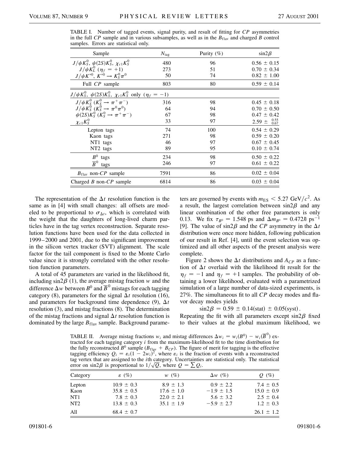| Sample                                                                               | $N_{\rm tag}$ | Purity $(\% )$ | $\sin 2\beta$               |  |  |  |
|--------------------------------------------------------------------------------------|---------------|----------------|-----------------------------|--|--|--|
| $J/\psi K_S^0$ , $\psi(2S)K_S^0$ , $\chi_{c1}K_S^0$                                  | 480           | 96             | $0.56 \pm 0.15$             |  |  |  |
| $J/\psi K_L^0$ ( $\eta_f = +1$ )                                                     | 273           | 51             | $0.70 \pm 0.34$             |  |  |  |
| $J/\psi K^{*0}$ , $K^{*0} \to K_S^0 \pi^0$                                           | 50            | 74             | $0.82 \pm 1.00$             |  |  |  |
| Full CP sample                                                                       | 803           | 80             | $0.59 \pm 0.14$             |  |  |  |
| $J/\psi K_S^0$ , $\psi(2S)K_S^0$ , $\chi_{c1}K_S^0$ only $(\eta_f = -1)$             |               |                |                             |  |  |  |
| $J/\psi K_S^0$ $(K_S^0 \to \pi^+ \pi^-)$<br>$J/\psi K_S^0$ $(K_S^0 \to \pi^0 \pi^0)$ | 316           | 98             | $0.45 \pm 0.18$             |  |  |  |
|                                                                                      | 64            | 94             | $0.70 \pm 0.50$             |  |  |  |
| $\psi(2S)K_S^0$ $(K_S^0 \to \pi^+\pi^-)$                                             | 67            | 98             | $0.47 \pm 0.42$             |  |  |  |
| $\chi_{c1}K_S^0$                                                                     | 33            | 97             | $2.59 \pm {}^{0.55}_{0.67}$ |  |  |  |
| Lepton tags                                                                          | 74            | 100            | $0.54 \pm 0.29$             |  |  |  |
| Kaon tags                                                                            | 271           | 98             | $0.59 \pm 0.20$             |  |  |  |
| NT1 tags                                                                             | 46            | 97             | $0.67 \pm 0.45$             |  |  |  |
| NT <sub>2</sub> tags                                                                 | 89            | 95             | $0.10 \pm 0.74$             |  |  |  |
| $B^0$<br>tags                                                                        | 234           | 98             | $0.50 \pm 0.22$             |  |  |  |
| $\overline{B}^0$<br>tags                                                             | 246           | 97             | $0.61 \pm 0.22$             |  |  |  |
| $B_{\text{flav}}$ non-CP sample                                                      | 7591          | 86             | $0.02 \pm 0.04$             |  |  |  |
| Charged $B$ non- $CP$ sample                                                         | 6814          | 86             | $0.03 \pm 0.04$             |  |  |  |

TABLE I. Number of tagged events, signal purity, and result of fitting for *CP* asymmetries in the full *CP* sample and in various subsamples, as well as in the  $B_{\text{flav}}$  and charged *B* control samples. Errors are statistical only.

The representation of the  $\Delta t$  resolution function is the same as in [4] with small changes: all offsets are modeled to be proportional to  $\sigma_{\Delta t}$ , which is correlated with the weight that the daughters of long-lived charm particles have in the tag vertex reconstruction. Separate resolution functions have been used for the data collected in 1999–2000 and 2001, due to the significant improvement in the silicon vertex tracker (SVT) alignment. The scale factor for the tail component is fixed to the Monte Carlo value since it is strongly correlated with the other resolution function parameters.

A total of 45 parameters are varied in the likelihood fit, including  $\sin 2\beta$  (1), the average mistag fraction *w* and the difference  $\Delta w$  between  $B^0$  and  $\overline{B}^0$  mistags for each tagging category (8), parameters for the signal  $\Delta t$  resolution (16), and parameters for background time dependence (9),  $\Delta t$ resolution (3), and mistag fractions (8). The determination of the mistag fractions and signal  $\Delta t$  resolution function is dominated by the large  $B_{\text{flav}}$  sample. Background parameters are governed by events with  $m_{ES} < 5.27$  GeV/ $c^2$ . As a result, the largest correlation between  $sin 2\beta$  and any linear combination of the other free parameters is only 0.13. We fix  $\tau_{B^0} = 1.548$  ps and  $\Delta m_{B^0} = 0.472 \hbar$  ps<sup>-1</sup> [9]. The value of  $\sin 2\beta$  and the *CP* asymmetry in the  $\Delta t$ distribution were once more hidden, following publication of our result in Ref. [4], until the event selection was optimized and all other aspects of the present analysis were complete.

Figure 2 shows the  $\Delta t$  distributions and  $A_{CP}$  as a function of  $\Delta t$  overlaid with the likelihood fit result for the  $\eta_f = -1$  and  $\eta_f = +1$  samples. The probability of obtaining a lower likelihood, evaluated with a parametrized simulation of a large number of data-sized experiments, is 27%. The simultaneous fit to all *CP* decay modes and flavor decay modes yields

$$
\sin 2\beta = 0.59 \pm 0.14 \text{(stat)} \pm 0.05 \text{(syst)}.
$$

Repeating the fit with all parameters except  $sin2\beta$  fixed to their values at the global maximum likelihood, we

TABLE II. Average mistag fractions  $w_i$  and mistag differences  $\Delta w_i = w_i(B^0) - w_i(\overline{B}^0)$  extracted for each tagging category *i* from the maximum-likelihood fit to the time distribution for the fully reconstructed  $B^0$  sample ( $B_{\text{flav}} + B_{\text{CP}}$ ). The figure of merit for tagging is the effective tagging efficiency  $Q_i = \varepsilon_i (1 - 2w_i)^2$ , where  $\varepsilon_i$  is the fraction of events with a reconstructed tag vertex that are assigned to the *i*th category. Uncertainties are statistical only. The statistical p error on sin2 $\beta$  is proportional to  $1/\sqrt{Q}$ , where  $Q = \sum Q_i$ .

| error on sinza is proportional to $1/\sqrt{Q}$ , where $Q = \angle Q_i$ . |                                                   |                                                   |                                                  |                                                  |  |  |
|---------------------------------------------------------------------------|---------------------------------------------------|---------------------------------------------------|--------------------------------------------------|--------------------------------------------------|--|--|
| Category                                                                  | $\varepsilon$ (%)                                 | $W(\%)$                                           | $\Delta w$ (%)                                   | $Q(\%)$                                          |  |  |
| Lepton<br>Kaon<br>NT <sub>1</sub>                                         | $10.9 \pm 0.3$<br>$35.8 \pm 0.5$<br>$7.8 \pm 0.3$ | $8.9 \pm 1.3$<br>$17.6 \pm 1.0$<br>$22.0 \pm 2.1$ | $0.9 \pm 2.2$<br>$-1.9 \pm 1.5$<br>$5.6 \pm 3.2$ | $7.4 \pm 0.5$<br>$15.0 \pm 0.9$<br>$2.5 \pm 0.4$ |  |  |
| NT <sub>2</sub>                                                           | $13.8 \pm 0.3$                                    | $35.1 \pm 1.9$                                    | $-5.9 \pm 2.7$                                   | $1.2 \pm 0.3$                                    |  |  |
| All                                                                       | $68.4 \pm 0.7$                                    |                                                   |                                                  | $26.1 \pm 1.2$                                   |  |  |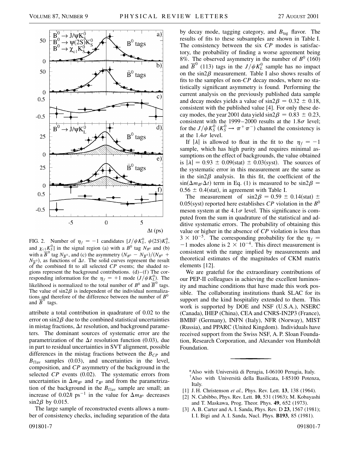

FIG. 2. Number of  $\eta_f = -1$  candidates  $[J/\psi K_s^0, \psi(2S)K_s^0]$ , and  $\chi_{c1} K_S^0$  in the signal region (a) with a  $B^0$  tag  $N_{B^0}$  and (b) with a  $\overline{B}^0$  tag  $N_{\overline{B}^0}$ , and (c) the asymmetry  $(N_{B^0} - N_{\overline{B}^0})/(N_{B^0} + N_{\overline{B}^0})$  $N_{\overline{B}^0}$ , as functions of  $\Delta t$ . The solid curves represent the result of the combined fit to all selected *CP* events; the shaded regions represent the background contributions.  $(d)$ – $(f)$  The corresponding information for the  $\eta_f = +1$  mode  $(J/\psi K_L^0)$ . The likelihood is normalized to the total number of  $B^0$  and  $\overline{B}^0$  tags. The value of  $sin2\beta$  is independent of the individual normalizations and therefore of the difference between the number of *B*<sup>0</sup> and  $B^{\circ}$  tags.

attribute a total contribution in quadrature of 0.02 to the error on  $\sin 2\beta$  due to the combined statistical uncertainties in mistag fractions,  $\Delta t$  resolution, and background parameters. The dominant sources of systematic error are the parametrization of the  $\Delta t$  resolution function (0.03), due in part to residual uncertainties in SVT alignment, possible differences in the mistag fractions between the  $B_{CP}$  and  $B_{\text{flav}}$  samples (0.03), and uncertainties in the level, composition, and *CP* asymmetry of the background in the selected *CP* events (0.02). The systematic errors from uncertainties in  $\Delta m_{B^0}$  and  $\tau_{B^0}$  and from the parametrization of the background in the  $B_{\text{flav}}$  sample are small; an increase of 0.02 $\hbar$  ps<sup>-1</sup> in the value for  $\Delta m_{B^0}$  decreases  $\sin 2\beta$  by 0.015.

The large sample of reconstructed events allows a number of consistency checks, including separation of the data by decay mode, tagging category, and *B*tag flavor. The results of fits to these subsamples are shown in Table I. The consistency between the six *CP* modes is satisfactory, the probability of finding a worse agreement being 8%. The observed asymmetry in the number of  $B^0$  (160) and  $\overline{B}^0$  (113) tags in the  $J/\psi K_L^0$  sample has no impact on the  $sin2\beta$  measurement. Table I also shows results of fits to the samples of non-*CP* decay modes, where no statistically significant asymmetry is found. Performing the current analysis on the previously published data sample and decay modes yields a value of  $sin 2\beta = 0.32 \pm 0.18$ , consistent with the published value [4]. For only these decay modes, the year 2001 data yield  $\sin 2\beta = 0.83 \pm 0.23$ , consistent with the 1999–2000 results at the  $1.8\sigma$  level; for the  $J/\psi K_S^0$  ( $K_S^0 \rightarrow \pi^+ \pi^-$ ) channel the consistency is at the  $1.4\sigma$  level.

If  $|\lambda|$  is allowed to float in the fit to the  $\eta_f = -1$ sample, which has high purity and requires minimal assumptions on the effect of backgrounds, the value obtained is  $|\lambda| = 0.93 \pm 0.09(\text{stat}) \pm 0.03(\text{syst})$ . The sources of the systematic error in this measurement are the same as in the  $\sin 2\beta$  analysis. In this fit, the coefficient of the  $sin(\Delta m_{B^0}\Delta t)$  term in Eq. (1) is measured to be  $sin2\beta =$  $0.56 \pm 0.4$ (stat), in agreement with Table I.

The measurement of  $\sin 2\beta = 0.59 \pm 0.14(\text{stat}) \pm 1.0$ 0.05(syst) reported here establishes  $\mathbb{CP}$  violation in the  $\mathbb{B}^0$ meson system at the 4.1 $\sigma$  level. This significance is computed from the sum in quadrature of the statistical and additive systematic errors. The probability of obtaining this value or higher in the absence of *CP* violation is less than  $3 \times 10^{-5}$ . The corresponding probability for the  $\eta_f =$  $-1$  modes alone is  $2 \times 10^{-4}$ . This direct measurement is consistent with the range implied by measurements and theoretical estimates of the magnitudes of CKM matrix elements [12].

We are grateful for the extraordinary contributions of our PEP-II colleagues in achieving the excellent luminosity and machine conditions that have made this work possible. The collaborating institutions thank SLAC for its support and the kind hospitality extended to them. This work is supported by DOE and NSF (U.S.A.), NSERC (Canada), IHEP (China), CEA and CNRS-IN2P3 (France), BMBF (Germany), INFN (Italy), NFR (Norway), MIST (Russia), and PPARC (United Kingdom). Individuals have received support from the Swiss NSF, A. P. Sloan Foundation, Research Corporation, and Alexander von Humboldt Foundation.

\*Also with Università di Perugia, I-06100 Perugia, Italy. † Also with Università della Basilicata, I-85100 Potenza, Italy.

- [1] J. H. Christenson *et al.,* Phys. Rev. Lett. **13**, 138 (1964).
- [2] N. Cabibbo, Phys. Rev. Lett. **10**, 531 (1963); M. Kobayashi and T. Maskawa, Prog. Theor. Phys. **49**, 652 (1973).
- [3] A. B. Carter and A. I. Sanda, Phys. Rev. D **23**, 1567 (1981); I. I. Bigi and A. I. Sanda, Nucl. Phys. **B193**, 85 (1981).